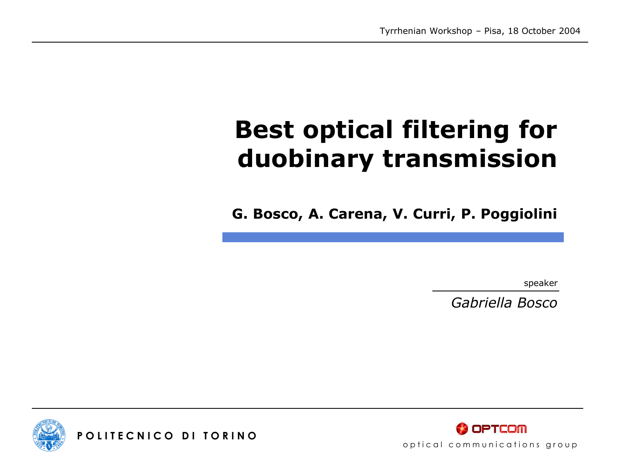# **Best optical filtering for duobinary transmission**

**G. Bosco, A. Carena, V. Curri, P. Poggiolini**

speaker

*Gabriella Bosco*



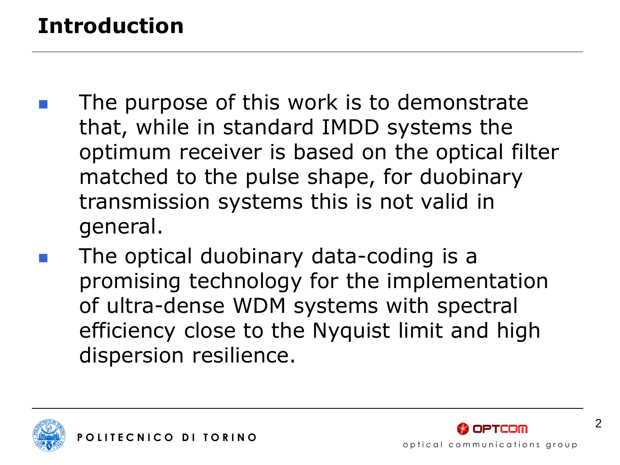## **Introduction**

- The purpose of this work is to demonstrate that, while in standard IMDD systems the optimum receiver is based on the optical filter matched to the pulse shape, for duobinary transmission systems this is not valid in general.
- The optical duobinary data-coding is a promising technology for the implementation of ultra-dense WDM systems with spectral efficiency close to the Nyquist limit and high dispersion resilience.







 $\mathfrak{D}$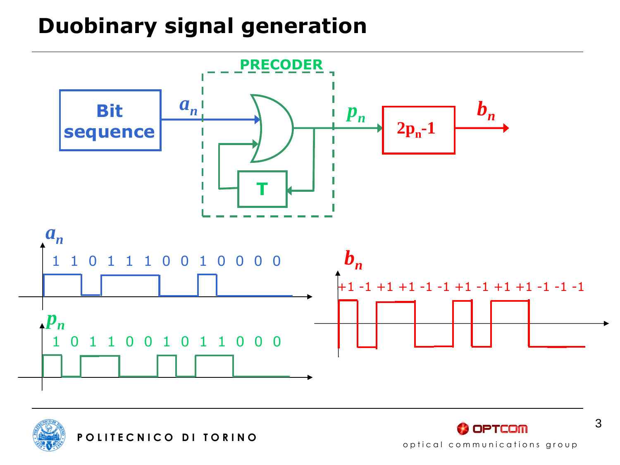### **Duobinary signal generation**







3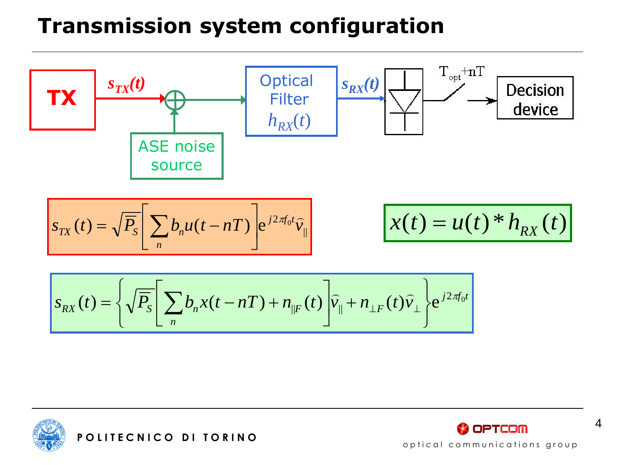### **Transmission system configuration**







4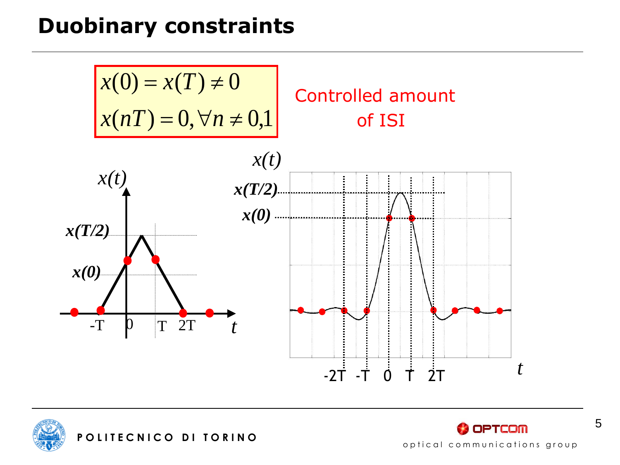### **Duobinary constraints**

$$
x(0) = x(T) \neq 0
$$
  
Controlled amount  

$$
x(nT) = 0, \forall n \neq 0,1
$$
  
Controlled amount of IST  
of IST  

$$
x(t)
$$
  

$$
x(T/2)
$$
  

$$
x(0)
$$
  

$$
x(T/2)
$$
  

$$
x(0)
$$
  

$$
x(T/2)
$$
  

$$
x(0)
$$
  

$$
x(T/2)
$$
  

$$
x(0)
$$
  

$$
-T
$$
  
or T 2T  
to T  
to T





optical communications group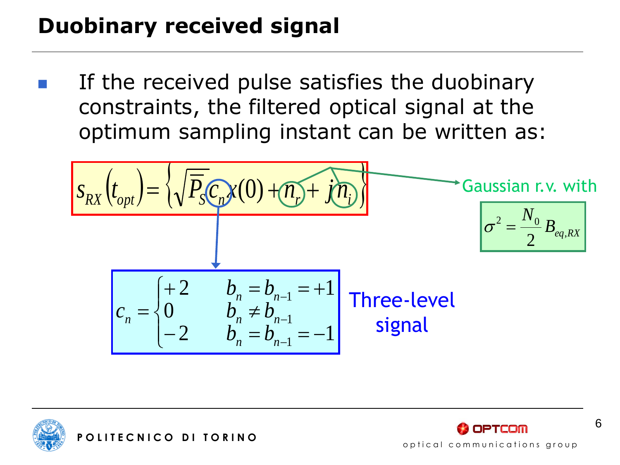## **Duobinary received signal**

 If the received pulse satisfies the duobinary constraints, the filtered optical signal at the optimum sampling instant can be written as:

$$
S_{RX}\left(t_{opt}\right) = \left\{\sqrt{\overline{P}_s C_n} \chi(0) + \eta_p + j\eta_i\right\}
$$
\n
$$
Gaussian r.v. with
$$
\n
$$
\sigma^2 = \frac{N_0}{2} B_{eq, RX}
$$
\n
$$
C_n = \begin{cases}\n+2 & b_n = b_{n-1} = +1 \\
0 & b_n \neq b_{n-1} \\
-2 & b_n = b_{n-1} = -1\n\end{cases}
$$
\nThree-level signal





6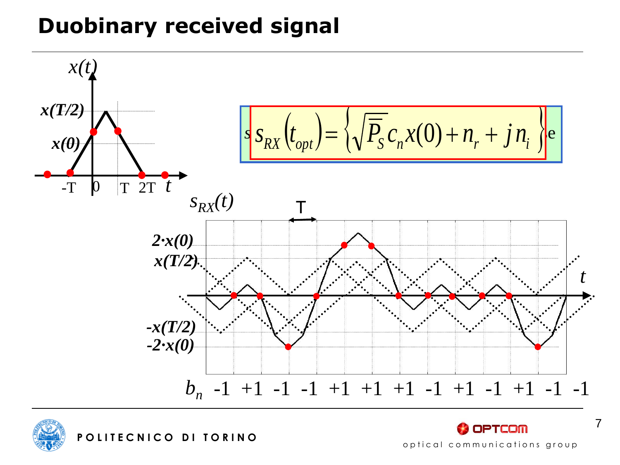## **Duobinary received signal**





**OPTCOM** optical communications group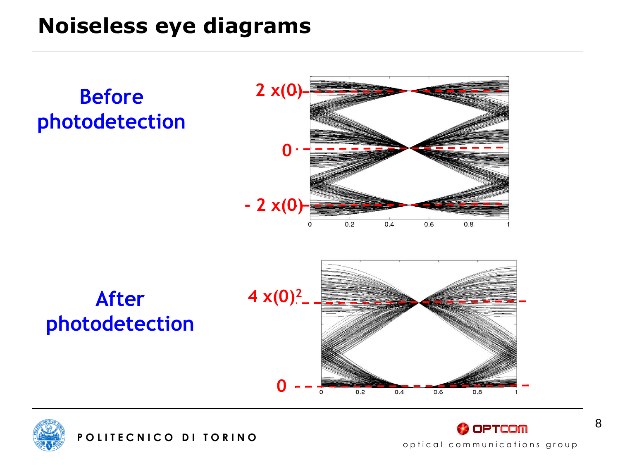### **Noiseless eye diagrams**







8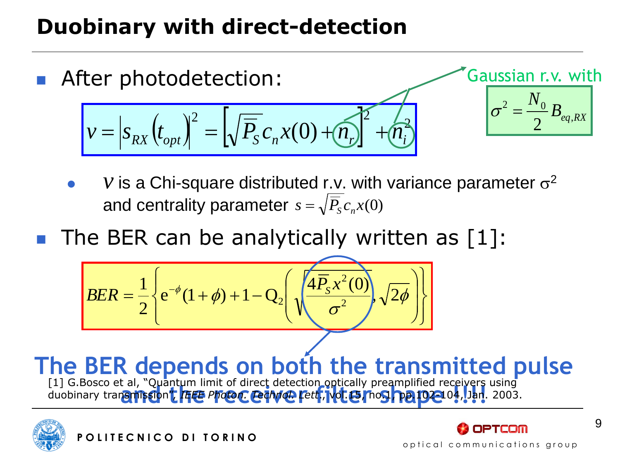## **Duobinary with direct-detection**



- *v* is a Chi-square distributed r.v. with variance parameter  $\sigma^2$ and centrality parameter  $s = \sqrt{P_s} c_n x(0)$
- The BER can be analytically written as [1]:

$$
BER = \frac{1}{2} \left\{ e^{-\phi} (1 + \phi) + 1 - Q_2 \left( \sqrt{\frac{4 \overline{P}_S x^2 (0)}{\sigma^2}}, \sqrt{2 \phi} \right) \right\}
$$

**The BER depends on both the transmitted pulse** [1] G.Bosco et al, "Quantum limit of direct detection ontically preamplified receivers using [1] G.Bosco et al, "Quantum limit of direct detection optically preamplified receivers using<br>duobinary tran**amissio**n'<mark>( | 4EE *Photon: Lechno*L (Cett</mark>, Not.LE) noS | pp.102–104, Jan. 2003. duobinary transmission", *IEEE Photon. Technol. Lett*., vol.15, no.1, pp.102-104, Jan. 2003.



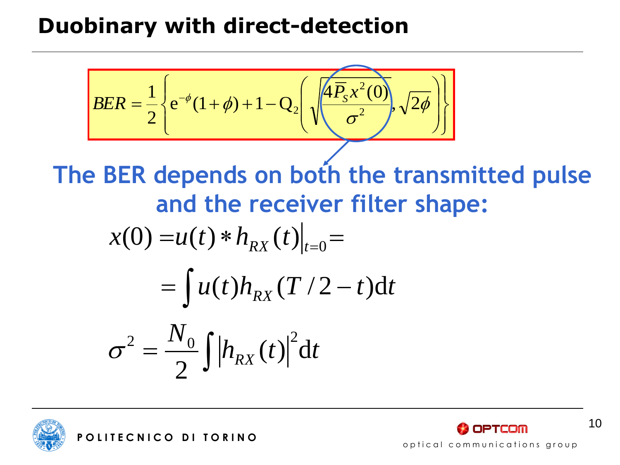### **Duobinary with direct-detection**

$$
BER = \frac{1}{2} \left\{ e^{-\phi} (1 + \phi) + 1 - Q_2 \left( \sqrt{\frac{4P_s x^2(0)}{\sigma^2}}, \sqrt{2\phi} \right) \right\}
$$
  
The BER depends on both the transmitted pulse  
and the receiver filter shape:  

$$
x(0) = u(t) * h_{RX}(t)|_{t=0} =
$$

$$
= \int u(t) h_{RX}(T/2 - t) dt
$$

$$
\sigma^2 = \frac{N_0}{2} \int |h_{RX}(t)|^2 dt
$$



**OPTCOM** optical communications group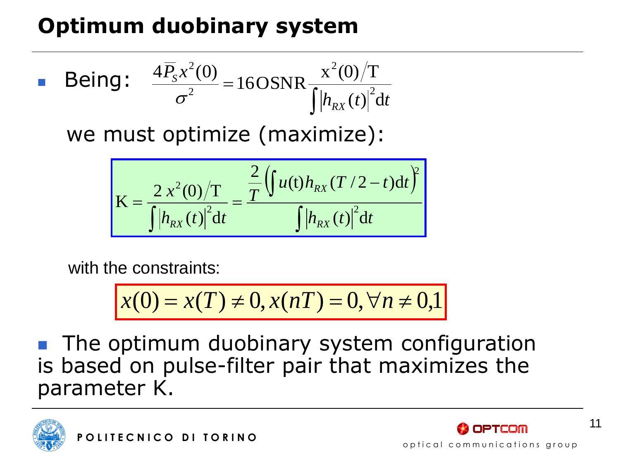## **Optimum duobinary system**

**Being:** 
$$
\frac{4\overline{P}_s x^2(0)}{\sigma^2} = 160 \text{SNR} \frac{x^2(0)}{\int |h_{RX}(t)|^2 dt}
$$

we must optimize (maximize):

$$
K = \frac{2 x^{2}(0)/T}{\int |h_{RX}(t)|^{2} dt} = \frac{\frac{2}{T} \left( \int u(t) h_{RX}(T/2-t) dt \right)^{2}}{\int |h_{RX}(t)|^{2} dt}
$$

with the constraints:

$$
x(0) = x(T) \neq 0, x(nT) = 0, \forall n \neq 0,1
$$

 The optimum duobinary system configuration is based on pulse-filter pair that maximizes the parameter K.



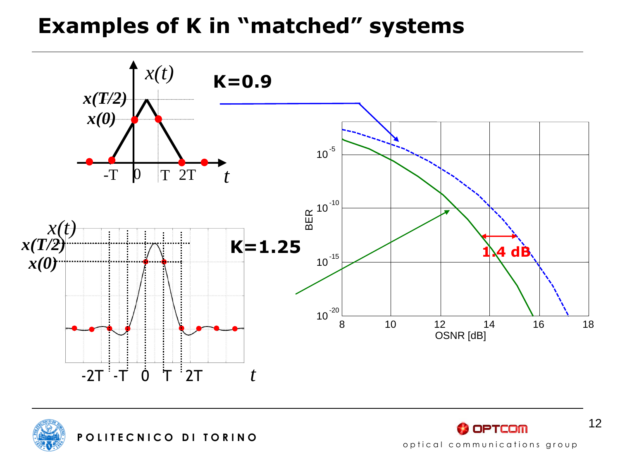### **Examples of K in "matched" systems**



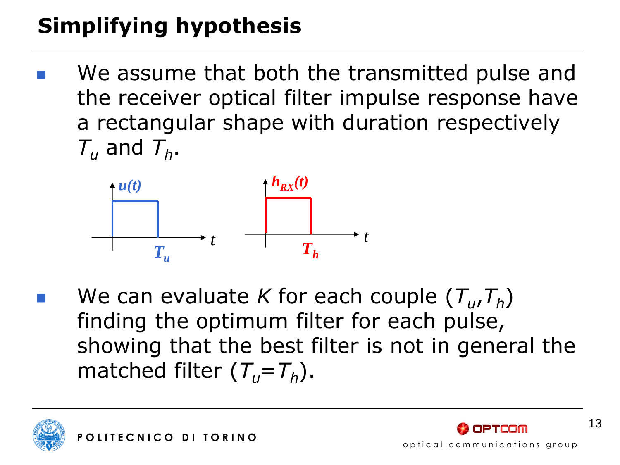# **Simplifying hypothesis**

 We assume that both the transmitted pulse and the receiver optical filter impulse response have a rectangular shape with duration respectively  $T_u$  and  $T_h$ .



■ We can evaluate *K* for each couple  $(T_u, T_h)$ finding the optimum filter for each pulse, showing that the best filter is not in general the matched filter  $(T_u = T_h)$ .

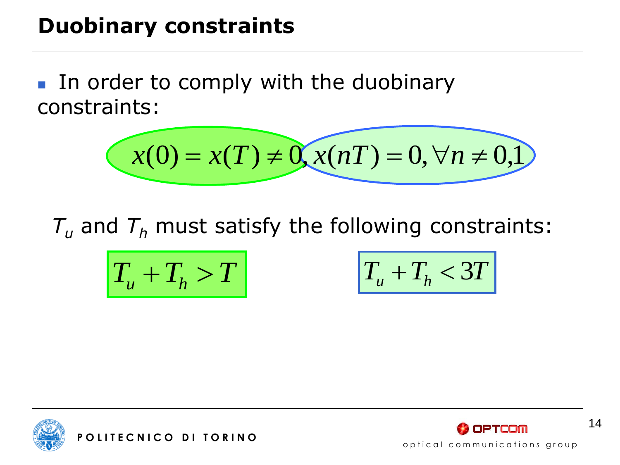### **Duobinary constraints**

In order to comply with the duobinary constraints:

$$
x(0) = x(T) \neq 0, x(nT) = 0, \forall n \neq 0, 1
$$

 $T_{\mu}$  and  $T_h$  must satisfy the following constraints:

$$
T_u + T_h > T
$$
  $T_u$ 

$$
T_u + T_h > T
$$
  $T_u + T_h < 3T$ 



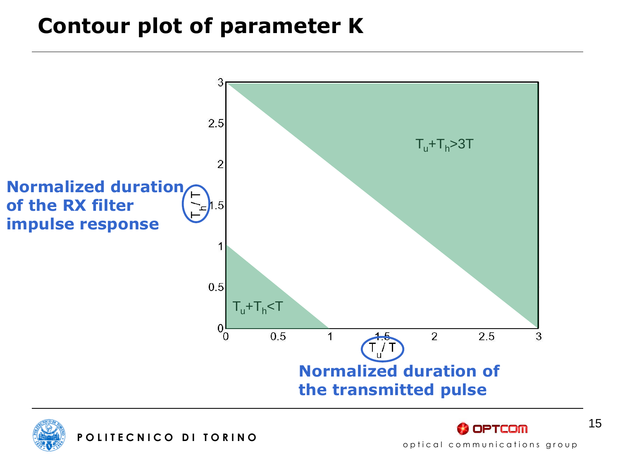### **Contour plot of parameter K**





**OPTCOM**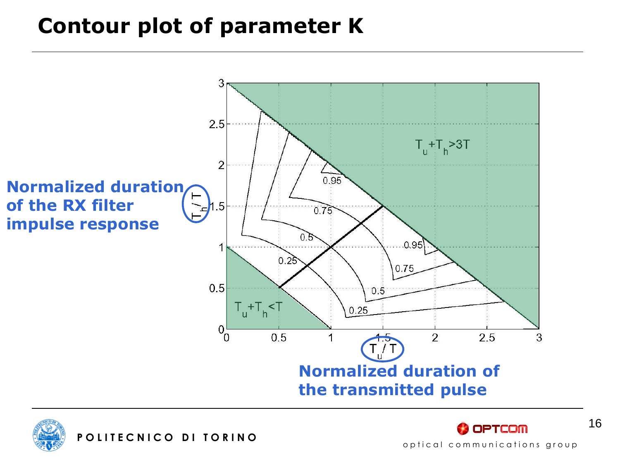### **Contour plot of parameter K**



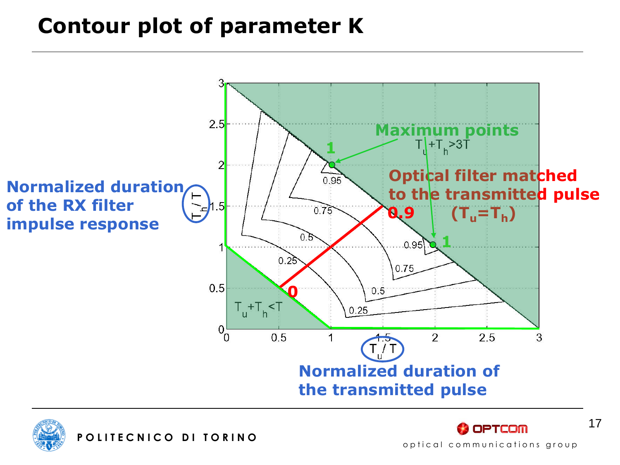### **Contour plot of parameter K**



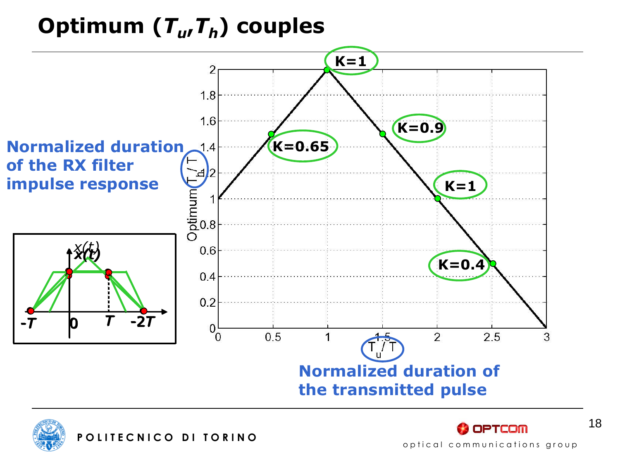# **Optimum (***T<sup>u</sup>* **,***Th***) couples**







18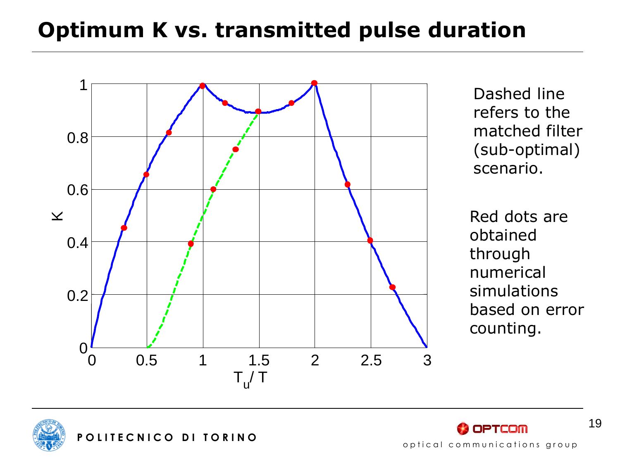### **Optimum K vs. transmitted pulse duration**



Dashed line refers to the matched filter (sub-optimal) scenario.

Red dots are obtained through numerical simulations based on error counting.





19